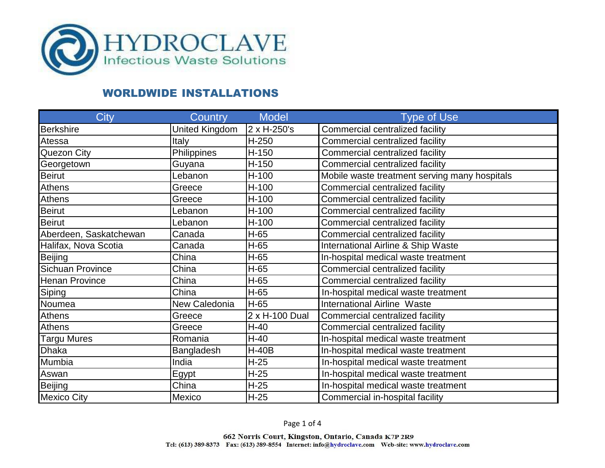

| <b>City</b>             | <b>Country</b> | <b>Model</b>   | <b>Type of Use</b>                            |
|-------------------------|----------------|----------------|-----------------------------------------------|
| <b>Berkshire</b>        | United Kingdom | 2 x H-250's    | Commercial centralized facility               |
| Atessa                  | Italy          | $H-250$        | Commercial centralized facility               |
| Quezon City             | Philippines    | H-150          | Commercial centralized facility               |
| Georgetown              | Guyana         | H-150          | Commercial centralized facility               |
| <b>Beirut</b>           | Lebanon        | $H-100$        | Mobile waste treatment serving many hospitals |
| <b>Athens</b>           | Greece         | $H-100$        | Commercial centralized facility               |
| <b>Athens</b>           | Greece         | H-100          | Commercial centralized facility               |
| <b>Beirut</b>           | Lebanon        | $H-100$        | Commercial centralized facility               |
| <b>Beirut</b>           | Lebanon        | $H-100$        | Commercial centralized facility               |
| Aberdeen, Saskatchewan  | Canada         | $H-65$         | Commercial centralized facility               |
| Halifax, Nova Scotia    | Canada         | $H-65$         | International Airline & Ship Waste            |
| <b>Beijing</b>          | China          | $H-65$         | In-hospital medical waste treatment           |
| <b>Sichuan Province</b> | China          | $H-65$         | Commercial centralized facility               |
| <b>Henan Province</b>   | China          | $H-65$         | Commercial centralized facility               |
| Siping                  | China          | $H-65$         | In-hospital medical waste treatment           |
| Noumea                  | New Caledonia  | H-65           | <b>International Airline Waste</b>            |
| <b>Athens</b>           | Greece         | 2 x H-100 Dual | Commercial centralized facility               |
| Athens                  | Greece         | $H-40$         | Commercial centralized facility               |
| Targu Mures             | Romania        | $H-40$         | In-hospital medical waste treatment           |
| <b>Dhaka</b>            | Bangladesh     | $H-40B$        | In-hospital medical waste treatment           |
| Mumbia                  | India          | $H-25$         | In-hospital medical waste treatment           |
| Aswan                   | <b>Egypt</b>   | $H-25$         | In-hospital medical waste treatment           |
| <b>Beijing</b>          | China          | $H-25$         | In-hospital medical waste treatment           |
| <b>Mexico City</b>      | Mexico         | $H-25$         | Commercial in-hospital facility               |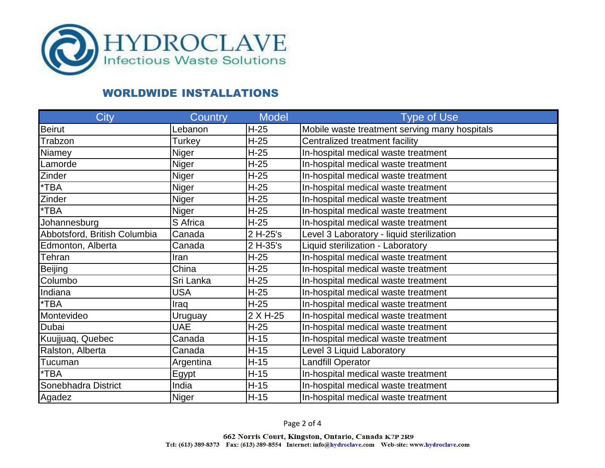

| City                         | Country      | <b>Model</b> | <b>Type of Use</b>                            |
|------------------------------|--------------|--------------|-----------------------------------------------|
| <b>Beirut</b>                | Lebanon      | $H-25$       | Mobile waste treatment serving many hospitals |
| Trabzon                      | Turkey       | $H-25$       | Centralized treatment facility                |
| Niamey                       | Niger        | $H-25$       | In-hospital medical waste treatment           |
| Lamorde                      | Niger        | $H-25$       | In-hospital medical waste treatment           |
| Zinder                       | Niger        | $H-25$       | In-hospital medical waste treatment           |
| *TBA                         | Niger        | $H-25$       | In-hospital medical waste treatment           |
| Zinder                       | Niger        | $H-25$       | In-hospital medical waste treatment           |
| *TBA                         | Niger        | $H-25$       | In-hospital medical waste treatment           |
| Johannesburg                 | S Africa     | $H-25$       | In-hospital medical waste treatment           |
| Abbotsford, British Columbia | Canada       | 2 H-25's     | Level 3 Laboratory - liquid sterilization     |
| Edmonton, Alberta            | Canada       | 2 H-35's     | Liquid sterilization - Laboratory             |
| Tehran                       | Iran         | $H-25$       | In-hospital medical waste treatment           |
| <b>Beijing</b>               | China        | $H-25$       | In-hospital medical waste treatment           |
| Columbo                      | Sri Lanka    | $H-25$       | In-hospital medical waste treatment           |
| Indiana                      | USA          | $H-25$       | In-hospital medical waste treatment           |
| *TBA                         | Iraq         | $H-25$       | In-hospital medical waste treatment           |
| Montevideo                   | Uruguay      | 2 X H-25     | In-hospital medical waste treatment           |
| Dubai                        | <b>UAE</b>   | $H-25$       | In-hospital medical waste treatment           |
| Kuujjuaq, Quebec             | Canada       | $H-15$       | In-hospital medical waste treatment           |
| Ralston, Alberta             | Canada       | $H-15$       | Level 3 Liquid Laboratory                     |
| Tucuman                      | Argentina    | $H-15$       | <b>Landfill Operator</b>                      |
| *TBA                         | Egypt        | $H-15$       | In-hospital medical waste treatment           |
| Sonebhadra District          | India        | $H-15$       | In-hospital medical waste treatment           |
| Agadez                       | <b>Niger</b> | $H-15$       | In-hospital medical waste treatment           |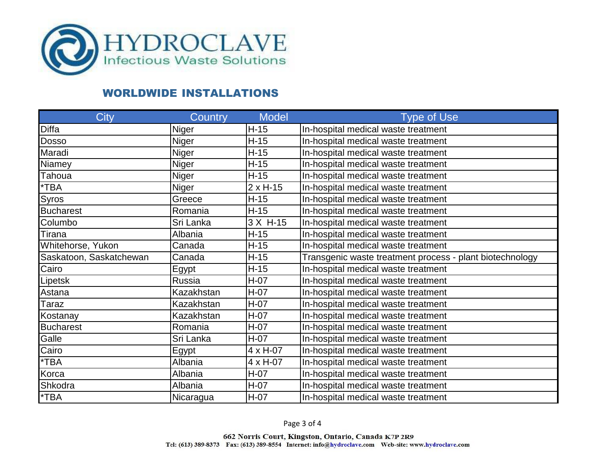

| City                    | Country      | <b>Model</b>      | <b>Type of Use</b>                                       |
|-------------------------|--------------|-------------------|----------------------------------------------------------|
| <b>Diffa</b>            | Niger        | $H-15$            | In-hospital medical waste treatment                      |
| <b>Dosso</b>            | Niger        | $H-15$            | In-hospital medical waste treatment                      |
| Maradi                  | Niger        | $H-15$            | In-hospital medical waste treatment                      |
| Niamey                  | Niger        | $H-15$            | In-hospital medical waste treatment                      |
| Tahoua                  | <b>Niger</b> | $H-15$            | In-hospital medical waste treatment                      |
| $*TBA$                  | <b>Niger</b> | $2 \times H-15$   | In-hospital medical waste treatment                      |
| Syros                   | Greece       | $H-15$            | In-hospital medical waste treatment                      |
| <b>Bucharest</b>        | Romania      | $H-15$            | In-hospital medical waste treatment                      |
| Columbo                 | Sri Lanka    | 3 X H-15          | In-hospital medical waste treatment                      |
| Tirana                  | Albania      | $H-15$            | In-hospital medical waste treatment                      |
| Whitehorse, Yukon       | Canada       | $H-15$            | In-hospital medical waste treatment                      |
| Saskatoon, Saskatchewan | Canada       | $H-15$            | Transgenic waste treatment process - plant biotechnology |
| Cairo                   | Egypt        | $H-15$            | In-hospital medical waste treatment                      |
| Lipetsk                 | Russia       | $H-07$            | In-hospital medical waste treatment                      |
| Astana                  | Kazakhstan   | $H-07$            | In-hospital medical waste treatment                      |
| Taraz                   | Kazakhstan   | $H-07$            | In-hospital medical waste treatment                      |
| Kostanay                | Kazakhstan   | $H-07$            | In-hospital medical waste treatment                      |
| <b>Bucharest</b>        | Romania      | $H-07$            | In-hospital medical waste treatment                      |
| Galle                   | Sri Lanka    | $H-07$            | In-hospital medical waste treatment                      |
| Cairo                   | Egypt        | $4 \times H - 07$ | In-hospital medical waste treatment                      |
| $*TBA$                  | Albania      | $4 \times H - 07$ | In-hospital medical waste treatment                      |
| Korca                   | Albania      | $H-07$            | In-hospital medical waste treatment                      |
| Shkodra                 | Albania      | $H-07$            | In-hospital medical waste treatment                      |
| $*TBA$                  | Nicaragua    | $H-07$            | In-hospital medical waste treatment                      |

Page 3 of 4